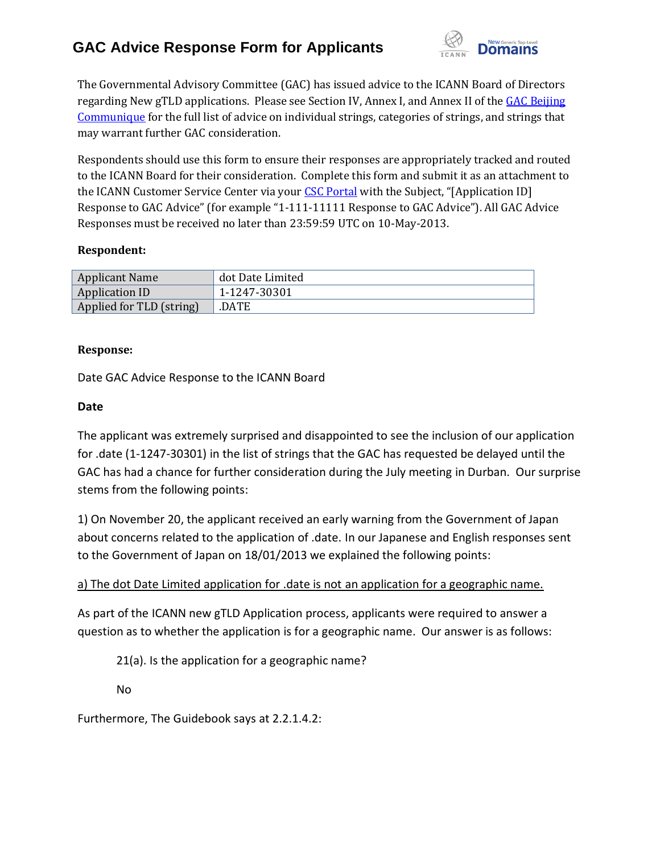

The Governmental Advisory Committee (GAC) has issued advice to the ICANN Board of Directors regarding New gTLD applications. Please see Section IV, Annex I, and Annex II of the GAC Beijing [Communique](http://www.icann.org/en/news/correspondence/gac-to-board-18apr13-en.pdf) for the full list of advice on individual strings, categories of strings, and strings that may warrant further GAC consideration.

Respondents should use this form to ensure their responses are appropriately tracked and routed to the ICANN Board for their consideration. Complete this form and submit it as an attachment to the ICANN Customer Service Center via your [CSC Portal](https://myicann.secure.force.com/) with the Subject, "[Application ID] Response to GAC Advice" (for example "1-111-11111 Response to GAC Advice"). All GAC Advice Responses must be received no later than 23:59:59 UTC on 10-May-2013.

#### **Respondent:**

| <b>Applicant Name</b>    | dot Date Limited |
|--------------------------|------------------|
| Application ID           | 1-1247-30301     |
| Applied for TLD (string) | .DATE            |

#### **Response:**

Date GAC Advice Response to the ICANN Board

### **Date**

The applicant was extremely surprised and disappointed to see the inclusion of our application for .date (1-1247-30301) in the list of strings that the GAC has requested be delayed until the GAC has had a chance for further consideration during the July meeting in Durban. Our surprise stems from the following points:

1) On November 20, the applicant received an early warning from the Government of Japan about concerns related to the application of .date. In our Japanese and English responses sent to the Government of Japan on 18/01/2013 we explained the following points:

### a) The dot Date Limited application for .date is not an application for a geographic name.

As part of the ICANN new gTLD Application process, applicants were required to answer a question as to whether the application is for a geographic name. Our answer is as follows:

21(a). Is the application for a geographic name?

No

Furthermore, The Guidebook says at 2.2.1.4.2: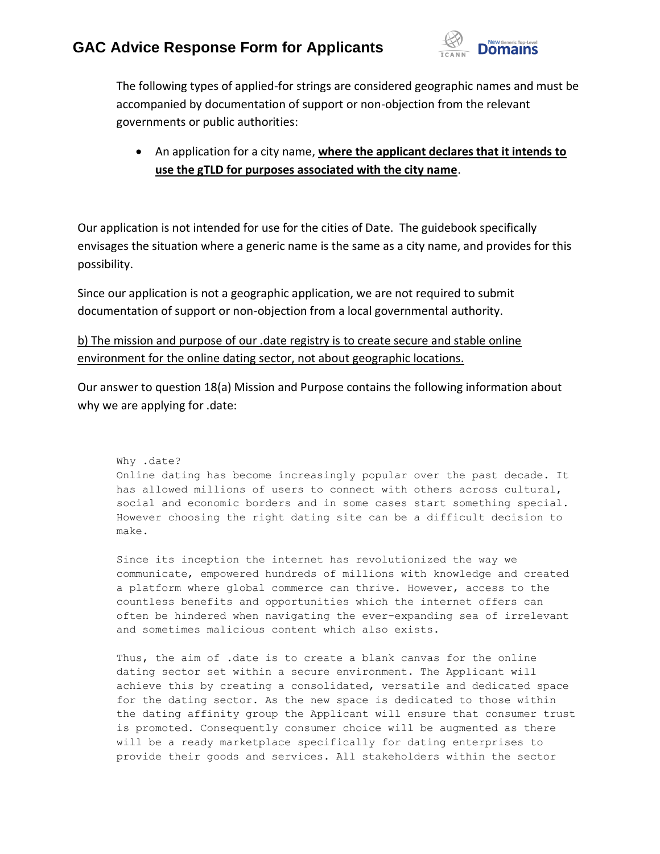

The following types of applied-for strings are considered geographic names and must be accompanied by documentation of support or non-objection from the relevant governments or public authorities:

 An application for a city name, **where the applicant declares that it intends to use the gTLD for purposes associated with the city name**.

Our application is not intended for use for the cities of Date. The guidebook specifically envisages the situation where a generic name is the same as a city name, and provides for this possibility.

Since our application is not a geographic application, we are not required to submit documentation of support or non-objection from a local governmental authority.

b) The mission and purpose of our .date registry is to create secure and stable online environment for the online dating sector, not about geographic locations.

Our answer to question 18(a) Mission and Purpose contains the following information about why we are applying for .date:

Why .date? Online dating has become increasingly popular over the past decade. It has allowed millions of users to connect with others across cultural, social and economic borders and in some cases start something special. However choosing the right dating site can be a difficult decision to make.

Since its inception the internet has revolutionized the way we communicate, empowered hundreds of millions with knowledge and created a platform where global commerce can thrive. However, access to the countless benefits and opportunities which the internet offers can often be hindered when navigating the ever-expanding sea of irrelevant and sometimes malicious content which also exists.

Thus, the aim of .date is to create a blank canvas for the online dating sector set within a secure environment. The Applicant will achieve this by creating a consolidated, versatile and dedicated space for the dating sector. As the new space is dedicated to those within the dating affinity group the Applicant will ensure that consumer trust is promoted. Consequently consumer choice will be augmented as there will be a ready marketplace specifically for dating enterprises to provide their goods and services. All stakeholders within the sector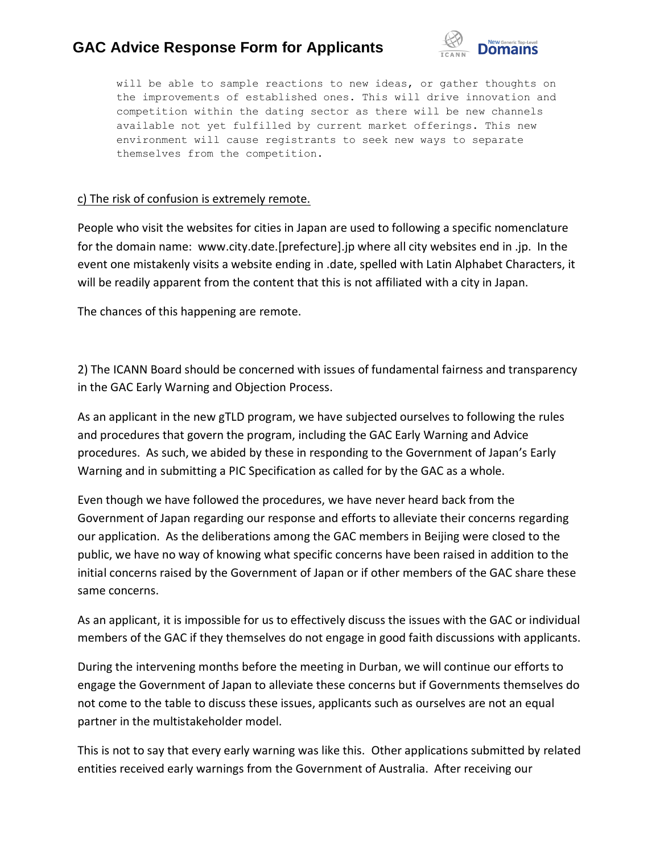

will be able to sample reactions to new ideas, or gather thoughts on the improvements of established ones. This will drive innovation and competition within the dating sector as there will be new channels available not yet fulfilled by current market offerings. This new environment will cause registrants to seek new ways to separate themselves from the competition.

### c) The risk of confusion is extremely remote.

People who visit the websites for cities in Japan are used to following a specific nomenclature for the domain name: www.city.date.[prefecture].jp where all city websites end in .jp. In the event one mistakenly visits a website ending in .date, spelled with Latin Alphabet Characters, it will be readily apparent from the content that this is not affiliated with a city in Japan.

The chances of this happening are remote.

2) The ICANN Board should be concerned with issues of fundamental fairness and transparency in the GAC Early Warning and Objection Process.

As an applicant in the new gTLD program, we have subjected ourselves to following the rules and procedures that govern the program, including the GAC Early Warning and Advice procedures. As such, we abided by these in responding to the Government of Japan's Early Warning and in submitting a PIC Specification as called for by the GAC as a whole.

Even though we have followed the procedures, we have never heard back from the Government of Japan regarding our response and efforts to alleviate their concerns regarding our application. As the deliberations among the GAC members in Beijing were closed to the public, we have no way of knowing what specific concerns have been raised in addition to the initial concerns raised by the Government of Japan or if other members of the GAC share these same concerns.

As an applicant, it is impossible for us to effectively discuss the issues with the GAC or individual members of the GAC if they themselves do not engage in good faith discussions with applicants.

During the intervening months before the meeting in Durban, we will continue our efforts to engage the Government of Japan to alleviate these concerns but if Governments themselves do not come to the table to discuss these issues, applicants such as ourselves are not an equal partner in the multistakeholder model.

This is not to say that every early warning was like this. Other applications submitted by related entities received early warnings from the Government of Australia. After receiving our